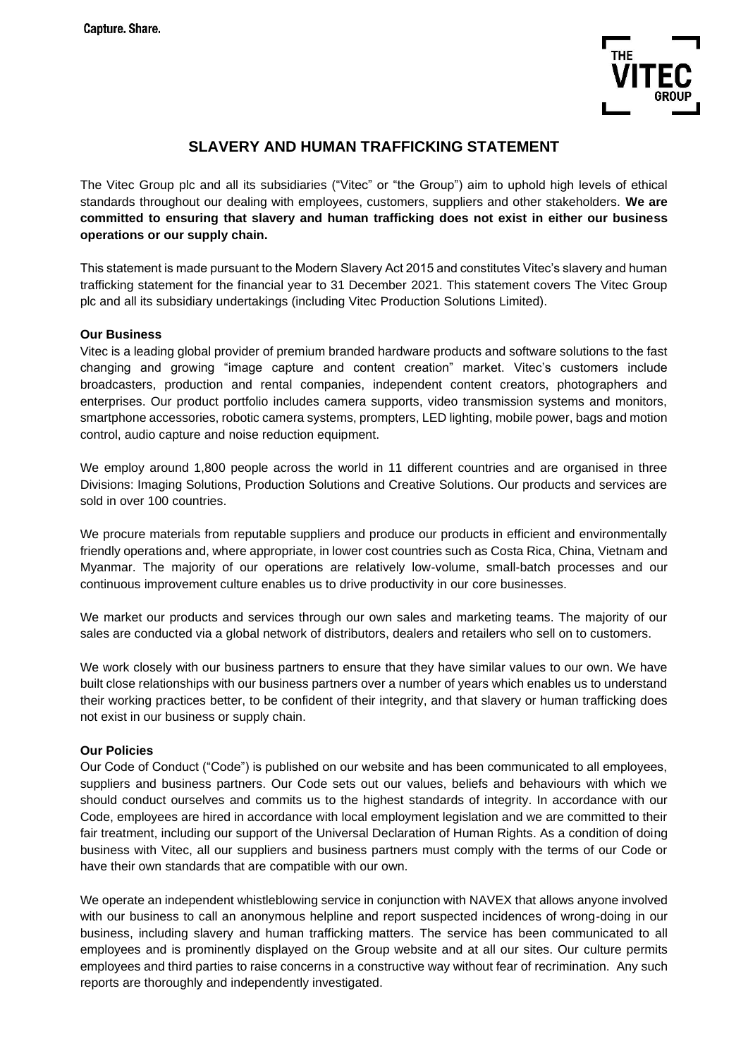

# **SLAVERY AND HUMAN TRAFFICKING STATEMENT**

The Vitec Group plc and all its subsidiaries ("Vitec" or "the Group") aim to uphold high levels of ethical standards throughout our dealing with employees, customers, suppliers and other stakeholders. **We are committed to ensuring that slavery and human trafficking does not exist in either our business operations or our supply chain.** 

This statement is made pursuant to the Modern Slavery Act 2015 and constitutes Vitec's slavery and human trafficking statement for the financial year to 31 December 2021. This statement covers The Vitec Group plc and all its subsidiary undertakings (including Vitec Production Solutions Limited).

# **Our Business**

Vitec is a leading global provider of premium branded hardware products and software solutions to the fast changing and growing "image capture and content creation" market. Vitec's customers include broadcasters, production and rental companies, independent content creators, photographers and enterprises. Our product portfolio includes camera supports, video transmission systems and monitors, smartphone accessories, robotic camera systems, prompters, LED lighting, mobile power, bags and motion control, audio capture and noise reduction equipment.

We employ around 1,800 people across the world in 11 different countries and are organised in three Divisions: Imaging Solutions, Production Solutions and Creative Solutions. Our products and services are sold in over 100 countries.

We procure materials from reputable suppliers and produce our products in efficient and environmentally friendly operations and, where appropriate, in lower cost countries such as Costa Rica, China, Vietnam and Myanmar. The majority of our operations are relatively low-volume, small-batch processes and our continuous improvement culture enables us to drive productivity in our core businesses.

We market our products and services through our own sales and marketing teams. The majority of our sales are conducted via a global network of distributors, dealers and retailers who sell on to customers.

We work closely with our business partners to ensure that they have similar values to our own. We have built close relationships with our business partners over a number of years which enables us to understand their working practices better, to be confident of their integrity, and that slavery or human trafficking does not exist in our business or supply chain.

# **Our Policies**

Our Code of Conduct ("Code") is published on our website and has been communicated to all employees, suppliers and business partners. Our Code sets out our values, beliefs and behaviours with which we should conduct ourselves and commits us to the highest standards of integrity. In accordance with our Code, employees are hired in accordance with local employment legislation and we are committed to their fair treatment, including our support of the Universal Declaration of Human Rights. As a condition of doing business with Vitec, all our suppliers and business partners must comply with the terms of our Code or have their own standards that are compatible with our own.

We operate an independent whistleblowing service in conjunction with NAVEX that allows anyone involved with our business to call an anonymous helpline and report suspected incidences of wrong-doing in our business, including slavery and human trafficking matters. The service has been communicated to all employees and is prominently displayed on the Group website and at all our sites. Our culture permits employees and third parties to raise concerns in a constructive way without fear of recrimination. Any such reports are thoroughly and independently investigated.